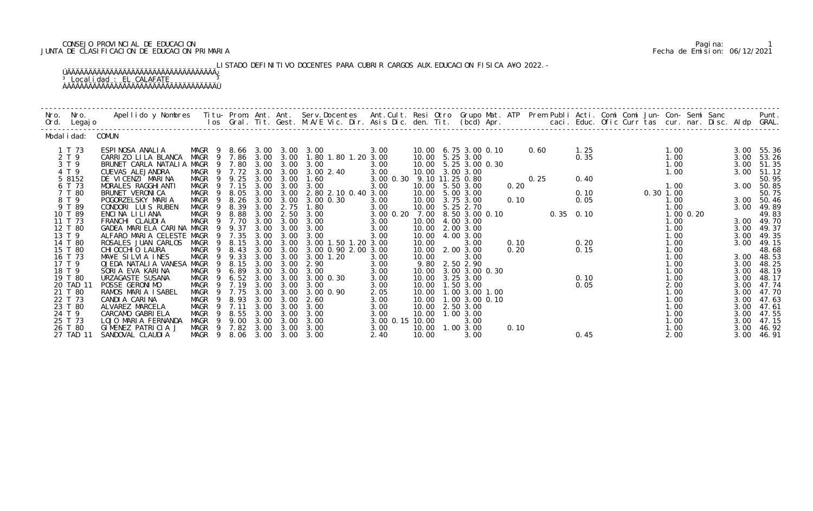# CONSEJO PROVINCIAL DE EDUCACION Pagina: 1 JUNTA DE CLASIFICACION DE EDUCACION PRIMARIA Fecha de Emision: 06/12/2021

LISTADO DEFINITIVO DOCENTES PARA CUBRIR CARGOS AUX. EDUCACION FISICA A¥O 2022.- ÚÄÄÄÄÄÄÄÄÄÄÄÄÄÄÄÄÄÄÄÄÄÄÄÄÄÄÄÄÄÄÄÄÄÄÄ¿ <sup>3</sup> Localidad : EL CALAFATE <sup>3</sup>

ÀÄÄÄÄÄÄÄÄÄÄÄÄÄÄÄÄÄÄÄÄÄÄÄÄÄÄÄÄÄÄÄÄÄÄÄÙ

| Nro. | Nro.<br>Ord. Legajo | Apellido y Nombres  Titu- Prom. Ant. Ant.  Serv.Docentes  Ant.Cult. Resi Otro  Grupo Mat. ATP  Prem Publi Acti. Comi Comi Jun- Con- Semi Sanc                    Punt.<br>Ios Gral. Tit. Gest. M.A/E Vic. Dir. Asis Dic. den. Tit |                            |                        |              |                   |                                           |                                                                                             |       |                         |      |      |                                                             |      |                             |               |      |                     |
|------|---------------------|-----------------------------------------------------------------------------------------------------------------------------------------------------------------------------------------------------------------------------------|----------------------------|------------------------|--------------|-------------------|-------------------------------------------|---------------------------------------------------------------------------------------------|-------|-------------------------|------|------|-------------------------------------------------------------|------|-----------------------------|---------------|------|---------------------|
|      | Modal i dad: COMUN  |                                                                                                                                                                                                                                   |                            |                        |              |                   |                                           |                                                                                             |       |                         |      |      |                                                             |      |                             |               |      |                     |
|      | 1 T 73              | ESPINOSA ANALIA                                                                                                                                                                                                                   | MAGR 9 8.66 3.00 3.00 3.00 |                        |              |                   |                                           | 3.00                                                                                        |       | 10.00 6.75 3.00 0.10    |      | 0.60 |                                                             | 1.25 |                             | 1.00          |      | 3.00 55.36          |
|      | 2 T 9               | CARRIZO LILA BLANCA                                                                                                                                                                                                               |                            |                        |              |                   | MAGR 9 7.86 3.00 3.00 1.80 1.80 1.20 3.00 |                                                                                             |       | 10.00 5.25 3.00         |      |      |                                                             | 0.35 |                             | 1.00          | 3.00 | 53.26               |
|      | 3 T 9               | BRUNET CARLA NATALIA MAGR 9 7.80 3.00 3.00 3.00                                                                                                                                                                                   |                            |                        |              |                   |                                           | 3.00                                                                                        |       | 10.00 5.25 3.00 0.30    |      |      |                                                             |      |                             | 1.00          | 3.00 | 51.35               |
|      | 4 T 9               | CUEVAS ALEJANDRA                                                                                                                                                                                                                  | MAGR 9 7.72 3.00           |                        |              |                   | 3.00 3.00 2.40                            | 3.00                                                                                        |       | 10.00 3.00 3.00         |      |      |                                                             |      |                             |               |      | 3.00 51.12          |
|      | 5 8152              | DE VICENZI MARINA                                                                                                                                                                                                                 | MAGR 9 9.25                |                        | 3.00         | 3.00              | 1.60                                      | 3.00 0.30 9.10 11.25 0.80                                                                   |       |                         |      | 0.25 |                                                             | 0.40 | $1.00$<br>$1.00$            |               |      | 50.95               |
|      | 6 T 73              | MORALES RAGGHI ANTI                                                                                                                                                                                                               | MAGR 9 7.15                |                        |              | 3.00 3.00         | 3.00                                      | 3.00                                                                                        |       | 10.00 5.50 3.00         | 0.20 |      |                                                             |      |                             |               |      | 3.00 50.85          |
|      | 7 T 80              | BRUNET VERONICA                                                                                                                                                                                                                   | 9<br>MAGR                  | 8.05                   | 3.00         |                   | 3.00 2.80 2.10 0.40 3.00                  |                                                                                             |       | 10.00 5.00 3.00         |      |      |                                                             | 0.10 | $0.30$ $1.00$               |               |      | 50.75               |
|      | 8 T 9               | POGORZELSKY MARIA                                                                                                                                                                                                                 | MAGR<br>- 9                | 8.26                   | 3.00         | 3.00              | 3.00 0.30                                 | 3.00                                                                                        |       | 10.00 3.75 3.00         |      |      |                                                             |      |                             | 1.00          |      | 3.00 50.46          |
|      | 9 T 89              | CONDORI LUIS RUBEN                                                                                                                                                                                                                | MAGR 9 8.39                |                        | 3.00         | 2.75              | 1.80                                      | 3.00                                                                                        |       | 10.00 5.25 2.70         |      |      | $\begin{array}{ccc}\n 10 & & & \\  0 & & & \\  \end{array}$ |      | $0.10$<br>0.05<br>0.35 0.10 | 1.00          |      | 3.00 49.89          |
|      | 10 T 89             | ENCINA LILIANA                                                                                                                                                                                                                    | MAGR 9 8.88                |                        | 3.00         |                   | 2.50 3.00                                 | 3. 00 0. 20 7. 00 8. 50 3. 00 0. 10<br>3. 00 10. 00 4. 00 3. 00<br>3. 00 10. 00 2. 00 3. 00 |       |                         |      |      |                                                             |      |                             | $1.00$ $0.20$ |      | 49.83               |
|      | 11 T 73             | FRANCHI CLAUDIA                                                                                                                                                                                                                   | MAGR 9 7.70                |                        | 3.00         | 3.00              | 3.00                                      |                                                                                             |       |                         |      |      |                                                             |      |                             | 1.00          |      | 3.00 49.70          |
|      | 12 T 80<br>13 T 9   | GADEA MARIELA CARINA MAGR 9 9.37<br>ALFARO MARIA CELESTE MAGR                                                                                                                                                                     |                            | 9 7.35                 | 3.00<br>3.00 | 3.00<br>3.00      | 3.00                                      | 3.00<br>3.00                                                                                |       | 10.00 4.00 3.00         |      |      |                                                             |      |                             | 1.00<br>1.00  | 3.00 | 49.37<br>3.00 49.35 |
|      | 14 T 80             | ROSALES JUAN CARLOS MAGR                                                                                                                                                                                                          | - 9                        | 8.15                   |              |                   | 3.00<br>3.00 3.00 3.00 1.50 1.20 3.00     |                                                                                             | 10.00 | 3.00                    | 0.10 |      |                                                             | 0.20 |                             | 1.00          | 3.00 | 49.15               |
|      | 15 T 80             | CHI OCCHI O LAURA                                                                                                                                                                                                                 | MAGR 9                     | 8.43                   | 3.00         | 3.00              | 3.00 0.90 2.00 3.00                       |                                                                                             |       | 10.00 2.00 3.00         | 0.20 |      |                                                             | 0.15 |                             | 1.00          |      | 48.68               |
|      | 16 T 73             | MA¥E SILVIA INES                                                                                                                                                                                                                  | MAGR                       | 9 9.33                 | 3.00         | 3.00              | 3.00 1.20                                 | 3.00                                                                                        | 10.00 | 3.00                    |      |      |                                                             |      |                             | 1.00          |      | 3.00 48.53          |
|      | 17 T 9              | OJEDA NATALIA VANESA                                                                                                                                                                                                              | MAGR                       | 9 8.15                 | 3.00         | 3.00              | 2.90                                      | 3.00                                                                                        |       | 9.80 2.50 2.90          |      |      |                                                             |      |                             | 1.00          |      | 3.00 48.25          |
|      | 18 T 9              | SORIA EVA KARINA                                                                                                                                                                                                                  | MAGR 9 6.89                |                        |              |                   | 3.00 3.00 3.00                            | 3.00                                                                                        |       | 10.00 3.00 3.00 0.30    |      |      |                                                             |      |                             | 1.00          | 3.00 | 48.19               |
|      | 19 T 80             | URZAGASTE SUSANA                                                                                                                                                                                                                  | MAGR <sub>9</sub>          | 6.52                   | 3.00         | 3.00              | 3.00 0.30                                 | 3.00                                                                                        | 10.00 | 3.25 3.00               |      |      |                                                             | 0.10 |                             | 1.00          | 3.00 | 48.17               |
|      | 20 TAD 11           | POSSE GERONIMO                                                                                                                                                                                                                    | MAGR 9 7.19                |                        | 3.00         | 3.00              | 3.00                                      | 3.00                                                                                        |       | 10.00  1.50  3.00       |      |      |                                                             | 0.05 |                             | 2.00          | 3.00 | 47.74               |
|      | 21 T 80             | RAMOS MARIA ISABEL                                                                                                                                                                                                                | MAGR 9 7.75                |                        | 3.00         | 3.00              | 3.00 0.90                                 | 2.05                                                                                        |       | 10.00  1.00  3.00  1.00 |      |      |                                                             |      |                             | 1.00          |      | 3.00 47.70          |
|      | 22 T 73             | CANDIA CARINA                                                                                                                                                                                                                     | MAGR<br>- 9                | 8.93                   | 3.00         | 3.00              | 2.60                                      | 3.00                                                                                        |       | 10.00 1.00 3.00 0.10    |      |      |                                                             |      |                             | 1.00          | 3.00 | 47.63               |
|      | 23 T 80             | ALVAREZ MARCELA                                                                                                                                                                                                                   | MAGR                       | 7.11<br>9              | 3.00         | 3.00              | 3.00                                      | 3.00                                                                                        | 10.00 | 2.50 3.00               |      |      |                                                             |      |                             | 1.00          | 3.00 | 47.61               |
|      | 24 T 9              | CARCAMO GABRIELA                                                                                                                                                                                                                  | MAGR                       | 8.55<br>$\overline{9}$ | 3.00         | 3.00              | 3.00                                      | 3.00                                                                                        |       | 10.00  1.00  3.00       |      |      |                                                             |      |                             | 1.00          | 3.00 | 47.55               |
|      | 25 T 73             | LOJO MARIA FERNANDA                                                                                                                                                                                                               | MAGR 9 9.00                |                        |              | $3.00 \quad 3.00$ | 3.00                                      | 3.00 0.15 10.00                                                                             |       | 3.00                    |      |      |                                                             |      |                             | 1.00          | 3.00 | 47.15               |
|      | 26 T 80             | GIMENEZ PATRICIA J                                                                                                                                                                                                                | MAGR 9 7.82 3.00 3.00 3.00 |                        |              |                   |                                           | 3.00                                                                                        |       | 10.00  1.00  3.00       | 0.10 |      |                                                             |      |                             | 1.00          | 3.00 | 46.92               |
|      | 27 TAD 11           | SANDOVAL CLAUDIA                                                                                                                                                                                                                  | MAGR 9 8.06 3.00 3.00 3.00 |                        |              |                   |                                           | 2.40                                                                                        | 10.00 | 3.00                    |      |      |                                                             | 0.45 |                             | 2.00          | 3.00 | 46. 91              |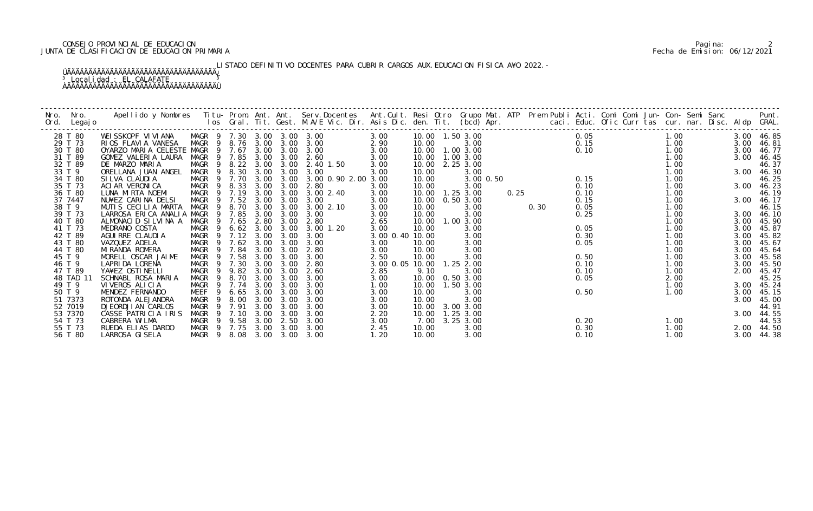# CONSEJO PROVINCIAL DE EDUCACION Pagina: 2 JUNTA DE CLASIFICACION DE EDUCACION PRIMARIA Fecha de Emision: 06/12/2021

LISTADO DEFINITIVO DOCENTES PARA CUBRIR CARGOS AUX. EDUCACION FISICA A¥O 2022.-

| Nro. | Nro.<br>Ord. Legajo | Apellido y Nombres Titu- Prom. Ant. Ant. Serv.Docentes Ant.Cult. Resi Otro Grupo Mat. ATP Prem Publi Acti. Comi Comi Jun- Con- Semi Sanc Punt.<br>Ios Gral. Tit. Gest. M.A/E Vic. Dir. Asis Dic. den. Tit. (bcd) Apr. |                   |                |               |      |                       |                            |                           |                   |                   |           |      |      |      |                                                    |      |  |      |            |
|------|---------------------|-----------------------------------------------------------------------------------------------------------------------------------------------------------------------------------------------------------------------|-------------------|----------------|---------------|------|-----------------------|----------------------------|---------------------------|-------------------|-------------------|-----------|------|------|------|----------------------------------------------------|------|--|------|------------|
|      | 28 T 80             | WEISSKOPF VIVIANA                                                                                                                                                                                                     |                   |                |               |      |                       | MAGR 9 7.30 3.00 3.00 3.00 | 3.00                      | 10.00  1.50  3.00 |                   |           |      |      | 0.05 |                                                    | 1.00 |  |      | 3.00 46.85 |
|      | 29 T 73             | RIOS FLAVIA VANESA                                                                                                                                                                                                    | MAGR 9 8.76 3.00  |                |               |      |                       | 3.00 3.00                  | 2.90                      | 10.00             | 3.00              |           |      |      |      |                                                    | 1.00 |  | 3.00 | 46.81      |
|      | 30 T 80             | OYARZO MARIA CELESTE MAGR 9 7.67                                                                                                                                                                                      |                   |                |               | 3.00 | 3.00                  | 3.00                       | 3.00                      |                   | 10.00  1.00  3.00 |           |      |      |      |                                                    | 1.00 |  |      | 3.00 46.77 |
|      | 31 T 89             | GOMEZ VALERIA LAURA                                                                                                                                                                                                   | MAGR 9 7.85       |                |               | 3.00 | 3.00                  | 2.60                       | 3.00                      |                   | 10.00  1.00  3.00 |           |      |      |      |                                                    | 1.00 |  | 3.00 | 46.45      |
|      | 32 T 89             | DE MARZO MARIA                                                                                                                                                                                                        |                   |                |               |      | MAGR 9 8.22 3.00 3.00 | 2.40 1.50                  | 3.00                      |                   | 10.00 2.25 3.00   |           |      |      |      |                                                    | 1.00 |  |      | 46.37      |
|      | 33 T 9              | ORELLANA JUAN ANGEL                                                                                                                                                                                                   | MAGR 9            |                | 8.30          | 3.00 | 3.00                  | 3.00                       | 3.00                      | 10.00             | 3.00              |           |      |      |      |                                                    | 1.00 |  |      | 3.00 46.30 |
|      | 34 T 80             | SI LVA CLAUDI A                                                                                                                                                                                                       | MAGR 9 7.70       |                |               | 3.00 | 3.00                  | 3.00 0.90 2.00 3.00        |                           | 10.00             |                   | 3.00 0.50 |      |      |      | 0. 05<br>0. 15<br>0. 10<br>0. 10<br>0. 10<br>0. 15 | 1.00 |  |      | 46.25      |
|      | 35 T 73             | ACI AR VERONI CA                                                                                                                                                                                                      | MAGR 9 8.33 3.00  |                |               |      | 3.00                  | 2.80                       | 3.00                      | 10.00             | 3.00              |           |      |      | 0.10 |                                                    | 1.00 |  |      | 3.00 46.23 |
|      | 36 T 80             | LUNA MIRTA NOEMI                                                                                                                                                                                                      | MAGR              |                | 9 7.19        | 3.00 | 3.00                  | 3.00 2.40                  | 3.00                      |                   | 10.00  1.25  3.00 |           | 0.25 |      | 0.10 |                                                    | 1.00 |  |      | 46.19      |
|      | 37 7447             | NU¥EZ CARINA DELSI                                                                                                                                                                                                    | MAGR 9 7.52       |                |               | 3.00 | 3.00                  | 3.00                       | 3.00                      | 10.00             | 0.503.00          |           |      |      | 0.15 |                                                    | 1.00 |  |      | 3.00 46.17 |
|      | 38 T 9              | MUTIS CECILIA MARTA                                                                                                                                                                                                   | MAGR              |                | 9 8.70        | 3.00 | 3.00                  | 3.00 2.10                  | 3.00                      | 10.00             | 3.00              |           |      | 0.30 | 0.05 |                                                    | 1.00 |  |      | 46.15      |
|      | 39 T 73             | LARROSA ERICA ANALIA MAGR                                                                                                                                                                                             |                   |                | 9 7.85        | 3.00 | 3.00                  | 3.00                       | 3.00                      | 10.00             | 3.00              |           |      |      | 0.25 |                                                    | 1.00 |  |      | 3.00 46.10 |
|      | 40 T 80             | ALMONACID SILVINA A MAGR 9 7.65                                                                                                                                                                                       |                   |                |               | 2.80 | 3.00                  | 2.80                       | 2.65                      |                   | 10.00  1.00  3.00 |           |      |      |      |                                                    | 1.00 |  | 3.00 | 45.90      |
|      | 41 T 73             | MEDRANO COSTA                                                                                                                                                                                                         | MAGR <sub>9</sub> |                | $6.62$ $3.00$ |      | 3.00                  | 3.00 1.20                  | 3.00                      | 10.00             | 3.00              |           |      |      | 0.05 |                                                    | 1.00 |  | 3.00 | 45.87      |
|      | 42 T 89             | AGUI RRE CLAUDI A                                                                                                                                                                                                     | MAGR 9 7.12 3.00  |                |               |      | 3.00                  | 3.00                       | 3.00 0.40 10.00           |                   | 3.00              |           |      |      | 0.30 |                                                    | 1.00 |  | 3.00 | 45.82      |
|      | 43 T 80             | VAZQUEZ ADELA                                                                                                                                                                                                         | MAGR 9 7.62 3.00  |                |               |      | 3.00                  | 3.00                       | 3.00                      | 10.00             | 3.00              |           |      |      | 0.05 |                                                    | 1.00 |  | 3.00 | 45.67      |
|      | 44 T 80             | MI RANDA ROMERA                                                                                                                                                                                                       | MAGR              |                | 9 7.84        | 3.00 | 3.00                  | 2.80                       | 3.00                      | 10.00             | 3.00              |           |      |      |      |                                                    | 1.00 |  | 3.00 | 45.64      |
|      | 45 T 9              | MORELL OSCAR JAIME                                                                                                                                                                                                    | MAGR 9            |                | 7.58          | 3.00 | 3.00                  | 3.00                       | 2.50                      | 10.00             | 3.00              |           |      |      | 0.50 |                                                    | 1.00 |  | 3.00 | 45.58      |
|      | 46 T 9              | LAPRIDA LORENA                                                                                                                                                                                                        | MAGR              |                | 9 7.30        | 3.00 | 3.00                  | 2.80                       | 3.00 0.05 10.00 1.25 2.00 |                   |                   |           |      |      | 0.10 |                                                    | 1.00 |  | 3.00 | 45.50      |
|      | 47 T 89             | YA¥EZ OSTINELLI                                                                                                                                                                                                       | MAGR 9 9.82 3.00  |                |               |      | 3.00                  | 2.60                       | 2.85                      | 9.10              | 3.00              |           |      |      | 0.10 |                                                    | 1.00 |  |      | 2.00 45.47 |
|      | 48 TAD 11           | SCHNABL ROSA MARIA                                                                                                                                                                                                    | MAGR <sub>9</sub> |                | 8.70          | 3.00 | 3.00                  | 3.00                       | 3.00                      | 10.00  0.50  3.00 |                   |           |      |      | 0.05 |                                                    | 2.00 |  |      | 45.25      |
|      | 49 T 9              | VIVEROS ALICIA                                                                                                                                                                                                        | MAGR 9 7.74       |                |               | 3.00 | 3.00                  | 3.00                       | 1.00                      |                   | 10.00  1.50  3.00 |           |      |      |      |                                                    | 1.00 |  |      | 3.00 45.24 |
|      | 50 T 9              | MENDEZ FERNANDO                                                                                                                                                                                                       | MEEF              | - 9            | 6.65          | 3.00 | 3.00                  | 3.00                       | 3.00                      | 10.00             | 3.00              |           |      |      | 0.50 |                                                    | 1.00 |  |      | 3.00 45.15 |
|      | 51 7373             | ROTONDA ALEJANDRA                                                                                                                                                                                                     | MAGR              | $\overline{9}$ | 8.00          | 3.00 | 3.00                  | 3.00                       | 3.00                      | 10.00             | 3.00              |           |      |      |      |                                                    |      |  | 3.00 | 45.00      |
|      | 52 7019             | <b>DJEORDJIAN CARLOS</b>                                                                                                                                                                                              | MAGR              | - 9            | 7.91          | 3.00 | 3.00                  | 3.00                       | 3.00                      | 10.00             | 3.00 3.00         |           |      |      |      |                                                    |      |  |      | 44.91      |
|      | 53 7370             | CASSE PATRICIA IRIS                                                                                                                                                                                                   | MAGR              |                | 9 7.10        | 3.00 | 3.00                  | 3.00                       | 2.20                      |                   | 10.00  1.25  3.00 |           |      |      |      |                                                    |      |  |      | 3.00 44.55 |
|      | 54 T 73             | CABRERA WILMA                                                                                                                                                                                                         | MAGR              |                | 9 9.58        | 3.00 | 2.50                  | 3.00                       | 3.00                      |                   | 7.00 3.25 3.00    |           |      |      | 0.20 |                                                    | 1.00 |  |      | 44.53      |
|      | 55 T 73             | RUEDA ELIAS DARDO                                                                                                                                                                                                     | MAGR 9 7.75       |                |               | 3.00 | 3.00                  | 3.00                       | 2.45                      | 10.00             | 3.00              |           |      |      | 0.30 |                                                    | 1.00 |  |      | 2.00 44.50 |
|      | 56 T 80             | LARROSA GI SELA                                                                                                                                                                                                       | MAGR 9 8.08 3.00  |                |               |      | 3.00                  | 3.00                       | 1.20                      | 10.00             | 3.00              |           |      |      | 0.10 |                                                    | 1.00 |  |      | 3.00 44.38 |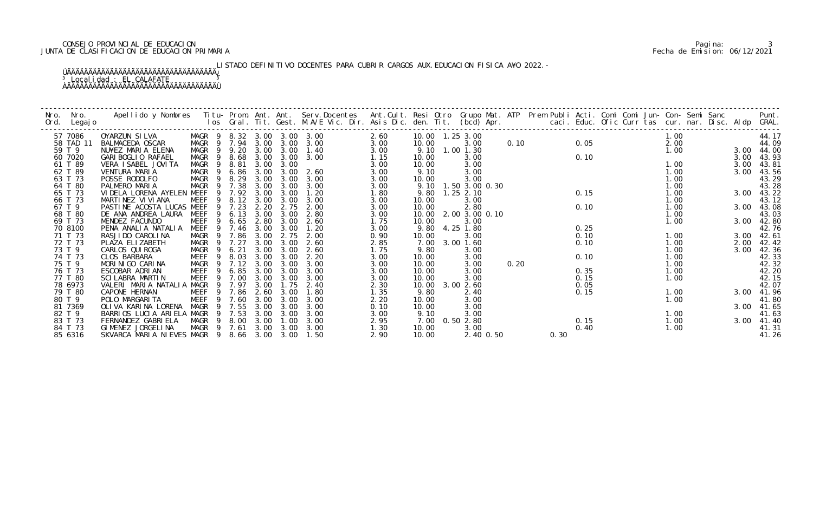# CONSEJO PROVINCIAL DE EDUCACION Pagina: 3 JUNTA DE CLASIFICACION DE EDUCACION PRIMARIA Fecha de Emision: 06/12/2021

LISTADO DEFINITIVO DOCENTES PARA CUBRIR CARGOS AUX. EDUCACION FISICA A¥O 2022.-

| Nro.<br>Nro.<br>Legaj o<br>Ord. | Apellido y Nombres - Titu- Prom. Ant. Ant. Serv.Docentes - Ant.Cult. Resi Otro Grupo Mat. ATP Prem Publi Acti. Comi Comi Jun- Con- Semi Sanc - - - Punt.<br>Ios Gral. Tit. Gest. M.A/E Vic. Dir. Asis Dic. den. Tit. (bcd) Apr. - |           |      |      |                   |      |       |                     |      |      |      |  |      |      |                  |
|---------------------------------|-----------------------------------------------------------------------------------------------------------------------------------------------------------------------------------------------------------------------------------|-----------|------|------|-------------------|------|-------|---------------------|------|------|------|--|------|------|------------------|
| 57 7086                         | MAGR 9 8.32 3.00 3.00 3.00<br>OYARZUN SILVA                                                                                                                                                                                       |           |      |      |                   | 2.60 |       | 10.00  1.25  3.00   |      |      |      |  | 1.00 |      | 44.17            |
| 58 TAD 11                       | MAGR 9 7.94<br>BALMACEDA OSCAR                                                                                                                                                                                                    |           | 3.00 |      | $3.00 \quad 3.00$ | 3.00 | 10.00 | 3.00                | 0.10 |      | 0.05 |  | 2.00 |      | 44.09            |
| 59 T 9                          | MAGR 9 9.20<br>NU¥EZ MARIA ELENA                                                                                                                                                                                                  |           | 3.00 | 3.00 | 1.40              | 3.00 |       | 9.10 1.00 1.30      |      |      |      |  | 1.00 |      | 3.00 44.00       |
| 60 7020                         | MAGR<br><b>GARI BOGLIO RAFAEL</b><br>- 9                                                                                                                                                                                          | 8.68      | 3.00 | 3.00 | 3.00              | 1.15 | 10.00 | 3.00                |      |      | 0.10 |  |      | 3.00 | 43.93            |
| 61 T 89                         | VERA I SABEL JOVI TA<br>MAGR<br>- 9                                                                                                                                                                                               | 8.81      | 3.00 | 3.00 |                   | 3.00 | 10.00 | 3.00                |      |      |      |  | 1.00 | 3.00 | 43.81            |
| 62 T 89                         | VENTURA MARIA<br>MAGR 9                                                                                                                                                                                                           | 6.86      | 3.00 | 3.00 | 2.60              | 3.00 | 9.10  | 3.00                |      |      |      |  | 1.00 | 3.00 | 43.56            |
| 63 T 73                         | MAGR<br>POSSE RODOLFO                                                                                                                                                                                                             | 9 8.29    | 3.00 | 3.00 | 3.00              | 3.00 | 10.00 | 3.00                |      |      |      |  | 1.00 |      | 43.29            |
| 64 T 80                         | MAGR<br>PALMERO MARIA                                                                                                                                                                                                             | 9 7.38    | 3.00 | 3.00 | 3.00              | 3.00 |       | 9.10 1.50 3.00 0.30 |      |      |      |  | 1.00 |      | 43.28            |
| 65 T 73                         | VI DELA LORENA AYELEN MEEF<br>-9                                                                                                                                                                                                  | 7.92      | 3.00 | 3.00 | 1.20              | 1.80 | 9.80  | $1.25$ 2.10         |      |      | 0.15 |  | 1.00 |      | 3.00 43.22       |
| 66 T 73                         | MARTINEZ VI VI ANA<br>MEEF<br>- 9                                                                                                                                                                                                 | 8.12 3.00 |      | 3.00 | 3.00              | 3.00 | 10.00 | 3.00                |      |      |      |  | 1.00 |      | 43.12            |
| 67 T 9                          | PASTINE ACOSTA LUCAS MEEF                                                                                                                                                                                                         | 9 7.23    | 2.20 | 2.75 | 2.00              | 3.00 | 10.00 | 2.80                |      |      | 0.10 |  | 1.00 |      | 3.00 43.08       |
| 68 T 80                         | DE ANA ANDREA LAURA MEEF                                                                                                                                                                                                          | 9 6.13    | 3.00 | 3.00 | 2.80              | 3.00 | 10.00 | 2.00 3.00 0.10      |      |      |      |  | 1.00 |      | 43.03            |
| 69 T 73                         | MENDEZ FACUNDO<br>MEEF<br>9                                                                                                                                                                                                       | 6.65      | 2.80 | 3.00 | 2.60              | 1.75 | 10.00 | 3.00                |      |      |      |  | 1.00 |      | 3.00 42.80       |
| 70 8100                         | MEEF<br>PENA ANALIA NATALIA                                                                                                                                                                                                       | 9 7.46    | 3.00 | 3.00 | 1.20              | 3.00 |       | 9.80 4.25 1.80      |      |      | 0.25 |  |      |      | 42.76            |
| 71 T 73                         | MAGR 9 7.86<br>RASJI DO CAROLI NA                                                                                                                                                                                                 |           | 3.00 | 2.75 | 2.00              | 0.90 | 10.00 | 3.00                |      |      | 0.10 |  | 1.00 |      | 3.00 42.61       |
| 72 T 73                         | PLAZA ELIZABETH<br>MAGR<br>- 9                                                                                                                                                                                                    | 7.27      | 3.00 | 3.00 | 2.60              | 2.85 | 7.00  | 3.00 1.60           |      |      | 0.10 |  | 1.00 | 2.00 | 42.42            |
| 73 T 9                          | CARLOS QUI ROGA<br>MAGR                                                                                                                                                                                                           | 6.21      | 3.00 | 3.00 | 2.60              | 1.75 | 9.80  | 3.00                |      |      |      |  | 1.00 | 3.00 | 42.36            |
| 74 T 73                         | MEEF<br>CLOS BARBARA<br>- 9                                                                                                                                                                                                       | 8.03      | 3.00 | 3.00 | 2.20              | 3.00 | 10.00 | 3.00                |      |      | 0.10 |  | 1.00 |      | 42.33            |
| 75 T 9                          | MAGR<br>MORINIGO CARINA<br>- 9                                                                                                                                                                                                    | 7.12      | 3.00 | 3.00 | 3.00              | 3.00 | 10.00 | 3.00                | 0.20 |      |      |  | 1.00 |      | 42. 32<br>42. 20 |
| 76 T 73                         | ESCOBAR ADRIAN<br>MEEF<br>- 9                                                                                                                                                                                                     | 6.85      | 3.00 | 3.00 | 3.00              | 3.00 | 10.00 | 3.00                |      |      | 0.35 |  | 1.00 |      |                  |
| 77 T 80                         | SCI LABRA MARTIN<br>MEEF<br>9                                                                                                                                                                                                     | 7.00      | 3.00 | 3.00 | 3.00              | 3.00 | 10.00 | 3.00                |      |      | 0.15 |  | 1.00 |      | 42.15            |
| 78 6973                         | VALERI MARIA NATALIA MAGR                                                                                                                                                                                                         | 9 7.97    | 3.00 | 1.75 | 2.40              | 2.30 |       | 10.00 3.00 2.60     |      |      | 0.05 |  |      |      | 42.07            |
| 79 T 80                         | MEEF<br>CAPONE HERNAN                                                                                                                                                                                                             | 9 7.86    | 2.60 | 3.00 | 1.80              | 1.35 | 9.80  | 2.40                |      |      | 0.15 |  | 1.00 |      | 3.00 41.96       |
| 80 T 9                          | <b>MEEF</b><br>POLO MARGARI TA<br>$\overline{9}$                                                                                                                                                                                  | 7.60      | 3.00 | 3.00 | 3.00              | 2.20 | 10.00 | 3.00                |      |      |      |  | 1.00 |      | 41.80            |
| 81 7369                         | OLIVA KARINA LORENA<br>MAGR<br>- 9                                                                                                                                                                                                | 7.55      | 3.00 | 3.00 | 3.00              | 0.10 | 10.00 | 3.00                |      |      |      |  |      |      | 3.00 41.65       |
| 82 T 9                          | BARRIOS LUCIA ARIELA MAGR                                                                                                                                                                                                         | 9 7.53    | 3.00 | 3.00 | 3.00              | 3.00 | 9.10  | 3.00                |      |      |      |  | 1.00 |      | 41.63            |
| 83 T 73                         | FERNANDEZ GABRIELA<br>MAGR 9 8.00                                                                                                                                                                                                 |           | 3.00 | 1.00 | 3.00              | 2.95 | 7.00  | 0.502.80            |      |      | 0.15 |  | 1.00 |      | 3.00 41.40       |
| 84 T 73                         | GIMENEZ JORGELINA<br>MAGR 9 7.61                                                                                                                                                                                                  |           | 3.00 | 3.00 | 3.00              | 1.30 | 10.00 | 3.00                |      |      | 0.40 |  | 1.00 |      | 41.31            |
| 85 6316                         | SKVARCA MARIA NIEVES MAGR 9 8.66 3.00 3.00                                                                                                                                                                                        |           |      |      | 1.50              | 2.90 | 10.00 | 2.40 0.50           |      | 0.30 |      |  |      |      | 41.26            |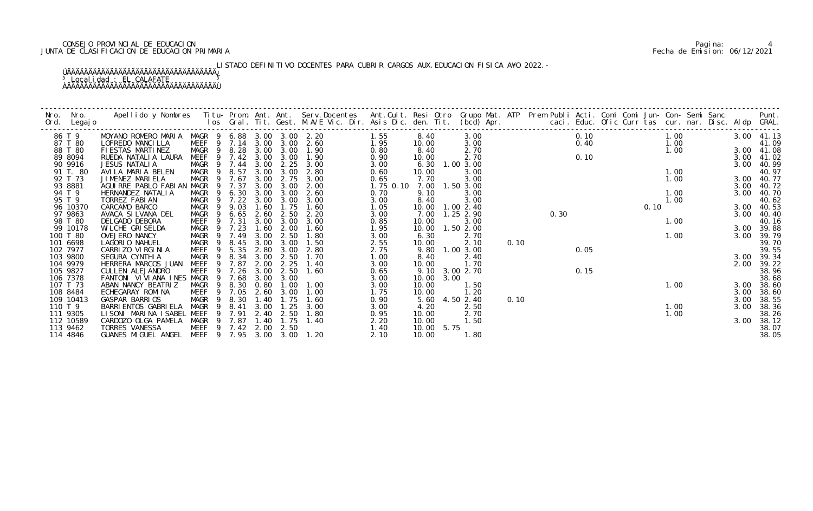# CONSEJO PROVINCIAL DE EDUCACION Pagina: 4 JUNTA DE CLASIFICACION DE EDUCACION PRIMARIA Fecha de Emision: 06/12/2021

# LISTADO DEFINITIVO DOCENTES PARA CUBRIR CARGOS AUX. EDUCACION FISICA A¥O 2022.-

| Nro.    | Nro.<br>Ord. Legajo   | Apellido y Nombres Titu- Prom. Ant. Ant. Serv.Docentes Ant.Cult. Resi Otro Grupo Mat. ATP Prem Publi Acti. Comi Comi Jun- Con- Semi Sanc Punt.<br>Ios Gral. Tit. Gest. M.A/E Vic. Dir. Asis Dic. den. Tit. (bcd) Apr. |                   |                            |      |           |              |              |       |            |                   |      |      |      |                                      |      |      |  |      |                |
|---------|-----------------------|-----------------------------------------------------------------------------------------------------------------------------------------------------------------------------------------------------------------------|-------------------|----------------------------|------|-----------|--------------|--------------|-------|------------|-------------------|------|------|------|--------------------------------------|------|------|--|------|----------------|
|         | 86 T 9                | MOYANO ROMERO MARIA MAGR 9 6.88 3.00 3.00 2.20                                                                                                                                                                        |                   |                            |      |           | 1.55         |              | 8.40  |            | 3.00              |      |      |      | $0.10$ $1.00$                        |      |      |  |      | 3.00 41.13     |
|         | 87 T 80               | LOFREDO MANCILLA                                                                                                                                                                                                      |                   | MEEF 9 7.14 3.00 3.00      |      |           | 2.60         | 1.95         | 10.00 |            | 3.00              |      |      |      |                                      |      |      |  |      | 41.09          |
|         | 88 T 80               | FIESTAS MARTINEZ                                                                                                                                                                                                      |                   | MAGR 9 8.28 3.00 3.00 1.90 |      |           |              | 0.80         | 8.40  |            | 2.70              |      |      |      |                                      |      |      |  |      | 3.00 41.08     |
|         | 89 8094               | RUEDA NATALIA LAURA                                                                                                                                                                                                   |                   | MEEF 9 7.42                | 3.00 | 3.00      | 1.90         | 0.90         | 10.00 |            | 2.70              |      |      |      | $0.40$<br>$0.10$<br>$1.00$<br>$1.00$ |      |      |  |      | 3.00 41.02     |
|         | 90 9916               | JESUS NATALIA                                                                                                                                                                                                         |                   | MAGR 9 7.44 3.00           |      |           | 2.25 3.00    | 3.00         | 6.30  |            | 1.00 3.00         |      |      |      |                                      |      |      |  |      | 3.00 40.99     |
|         | 91 T. 80              | AVILA MARIA BELEN                                                                                                                                                                                                     |                   | MAGR 9 8.57                | 3.00 | 3.00      | 2.80         | 0.60         | 10.00 |            | 3.00              |      |      |      |                                      |      | 1.00 |  |      | 40.97          |
|         | 92 T 73               | JIMENEZ MARIELA                                                                                                                                                                                                       |                   | MAGR 9 7.67                | 3.00 | 2.75      | 3.00         | 0.65         | 7.70  |            | 3.00              |      |      |      |                                      |      | 1.00 |  |      | 3.00 40.77     |
|         | 93 8881               | AGUIRRE PABLO FABIAN MAGR 9 7.37                                                                                                                                                                                      |                   |                            | 3.00 | 3.00      | 2.00         | 1.75 0.10    |       |            | 7.00 1.50 3.00    |      |      |      |                                      |      |      |  |      | 3.00 40.72     |
|         | 94 T 9                | HERNANDEZ NATALIA                                                                                                                                                                                                     | MAGR <sub>9</sub> | 6.30                       | 3.00 | 3.00      | 2.60         | 0.70         | 9.10  |            | 3.00              |      |      |      |                                      |      | 1.00 |  | 3.00 | 40.70          |
|         | 95 T 9                | TORREZ FABIAN                                                                                                                                                                                                         | MAGR 9            | 7.22                       | 3.00 | 3.00      | 3.00         | 3.00         | 8.40  |            | 3.00              |      |      |      |                                      |      | 1.00 |  |      | 40.62          |
|         | 96 10370              | CARCAMO BARCO                                                                                                                                                                                                         | MAGR              | 9.03<br>- 9                | 1.60 | 1.75      | 1.60         | 1.05         |       |            | 10.00  1.00  2.40 |      |      |      |                                      | 0.10 |      |  | 3.00 | 40.53          |
|         | 97 9863               | AVACA SI LVANA DEL                                                                                                                                                                                                    | MAGR              | 6.65<br>$\overline{9}$     | 2.60 | 2.50      | 2.20         | 3.00         | 7.00  |            | 1.25 2.90         |      | 0.30 |      |                                      |      |      |  | 3.00 | 40.40          |
|         | 98 T 80               | DELGADO DEBORA                                                                                                                                                                                                        |                   | MEEF 9 7.31                | 3.00 | 3.00      | 3.00         | 0.85         | 10.00 |            | 3.00              |      |      |      |                                      |      | 1.00 |  |      | 40.16          |
|         | 99 10178              | WILCHE GRISELDA                                                                                                                                                                                                       | MAGR              | 7.23<br>$\overline{9}$     | 1.60 | 2.00      | 1.60         | 1.95         | 10.00 |            | 1.502.00          |      |      |      |                                      |      |      |  |      | 3.00 39.88     |
|         | 100 T 80              | OVEJERO NANCY                                                                                                                                                                                                         | MAGR <sub>9</sub> | 7.49                       | 3.00 | 2.50      | 1.80         | 3.00         | 6.30  |            | 2.70              |      |      |      |                                      | 1.00 |      |  | 3.00 | 39.79          |
|         | 101 6698              | LAGORIO NAHUEL                                                                                                                                                                                                        | MAGR<br>- 9       | 8.45                       | 3.00 | 3.00      | 1.50         | 2.55         | 10.00 |            | 2.10              | 0.10 |      |      |                                      |      |      |  |      | 39.70          |
|         | 102 7977              | CARRIZO VIRGINIA                                                                                                                                                                                                      | MEEF              | 5.35<br>9                  | 2.80 | 3.00      | 2.80         | 2.75         |       |            | 9.80 1.00 3.00    |      |      | 0.05 |                                      |      |      |  |      | 39.55          |
|         | 103 9800              | SEGURA CYNTHI A                                                                                                                                                                                                       | MAGR              | 9<br>8.34                  | 3.00 | 2.50      | 1.70         | 1.00         | 8.40  |            | 2.40              |      |      |      |                                      |      |      |  |      | 3.00 39.34     |
|         | 104 9979              | HERRERA MARCOS JUAN                                                                                                                                                                                                   | MEEF              | 7.87<br>9                  | 2.00 | 2.25      | 1.40         | 3.00         | 10.00 |            | 1.70              |      |      |      |                                      |      |      |  | 2.00 | 39.22          |
|         | 105 9827              | CULLEN ALEJANDRO                                                                                                                                                                                                      | MEEF              | 9 7.26                     | 3.00 | 2.50      | 1.60         | 0.65         |       |            | 9.10 3.00 2.70    |      |      | 0.15 |                                      |      |      |  |      | 38.96          |
|         | 106 7378              | FANTONI VIVIANA INES MAGR                                                                                                                                                                                             |                   | 9 7.68                     | 3.00 | 3.00      |              | 3.00         |       | 10.00 3.00 |                   |      |      |      |                                      |      |      |  |      | 38.68          |
|         | 107 T 73              | ABAN NANCY BEATRIZ                                                                                                                                                                                                    | MAGR              | 9 8.30 0.80                |      | 1.00      | 1.00         | 3.00         | 10.00 |            | 1.50              |      |      |      |                                      |      | 1.00 |  | 3.00 | 38.60          |
|         | 108 8484              | ECHEGARAY ROMINA                                                                                                                                                                                                      |                   | MEEF 9 7.05                | 2.60 | 3.00      | 1.00         | 1.75         | 10.00 |            | 1.20              |      |      |      |                                      |      |      |  | 3.00 | 38.60          |
|         | 109 10413             | GASPAR BARRIOS                                                                                                                                                                                                        |                   | MAGR 9 8.30                | 1.40 | 1.75      | 1.60         | 0.90         |       |            | 5.60 4.50 2.40    | 0.10 |      |      |                                      |      |      |  | 3.00 | 38.55          |
| 110 T 9 |                       | BARRI ENTOS GABRI ELA                                                                                                                                                                                                 | MAGR 9 8.41       |                            | 3.00 | 1.25      | 3.00         | 3.00         | 4.20  |            | 2.50              |      |      |      |                                      |      | 1.00 |  | 3.00 | 38.36          |
|         | 111 9305              | LISONI MARINA ISABEL MEEF                                                                                                                                                                                             |                   | 9 7.91<br>9                |      | 2.40 2.50 | 1.80<br>1.40 | 0.95         | 10.00 |            | 2.70              |      |      |      |                                      |      | 1.00 |  |      | 38.26          |
|         | 112 10589<br>113 9462 | CARDOZO OLGA PAMELA<br>TORRES VANESSA                                                                                                                                                                                 | MAGR              | 7.87<br>MEEF 9 7.42 2.00   | 1.40 | 1.75      |              | 2.20         | 10.00 |            | 1.50              |      |      |      |                                      |      |      |  | 3.00 | 38.12          |
|         | 114 4846              | GUANES MIGUEL ANGEL MEEF 9 7.95 3.00 3.00 1.20                                                                                                                                                                        |                   |                            |      | 2.50      |              | 1.40<br>2.10 | 10.00 | 10.00 5.75 | 1.80              |      |      |      |                                      |      |      |  |      | 38.07<br>38.05 |
|         |                       |                                                                                                                                                                                                                       |                   |                            |      |           |              |              |       |            |                   |      |      |      |                                      |      |      |  |      |                |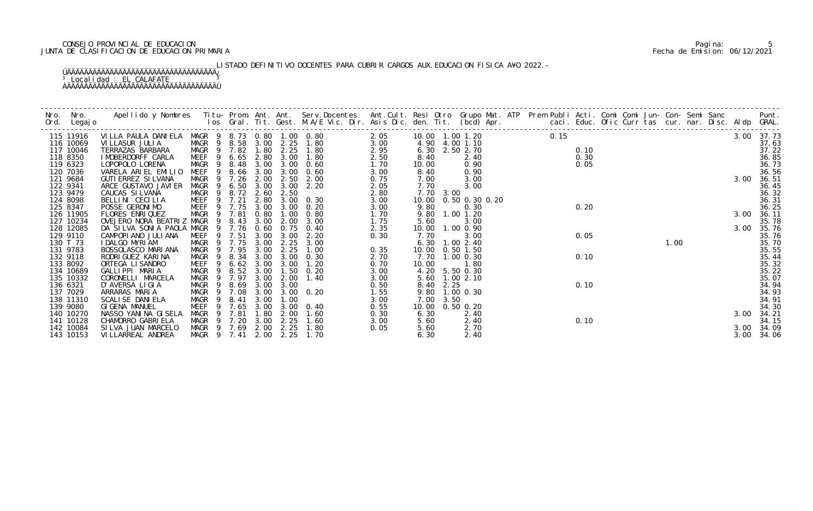# CONSEJO PROVINCIAL DE EDUCACION Pagina: 5 JUNTA DE CLASIFICACION DE EDUCACION PRIMARIA Fecha de Emision: 06/12/2021

# LISTADO DEFINITIVO DOCENTES PARA CUBRIR CARGOS AUX. EDUCACION FISICA A¥O 2022.-

| Nro. | Nro.<br>Ord. Legajo    | Apellido y Nombres Titu- Prom. Ant. Ant. Serv.Docentes Ant.Cult. Resi Otro Grupo Mat. ATP Prem Publi Acti. Comi Comi Jun- Con- Semi Sanc Punt.<br>Ios Gral. Tit. Gest. M.A/E Vic. Dir. Asis Dic. den. Tit. (bcd) Apr. |                                  |       |           |                       |                             |              |              |                   |  |      |      |  |      |  |      |                     |
|------|------------------------|-----------------------------------------------------------------------------------------------------------------------------------------------------------------------------------------------------------------------|----------------------------------|-------|-----------|-----------------------|-----------------------------|--------------|--------------|-------------------|--|------|------|--|------|--|------|---------------------|
|      | 115 11916              | VILLA PAULA DANIELA MAGR 9 8.73 0.80 1.00 0.80                                                                                                                                                                        |                                  |       |           |                       |                             | 2.05         |              | 10.00  1.00  1.20 |  | 0.15 |      |  |      |  |      | 3.00 37.73          |
|      | 116 10069              | VI LLASUR JULI A                                                                                                                                                                                                      | MAGR 9 8.58 3.00 2.25 1.80       |       |           |                       |                             | 3.00         |              | 4.90 4.00 1.10    |  |      |      |  |      |  |      | 37.63               |
|      | 117 10046              | TERRAZAS BARBARA                                                                                                                                                                                                      | MAGR 9 7.82                      |       | 1.80      |                       | 2.25 1.80                   | 2.95         |              | 6.30 2.50 2.70    |  |      | 0.10 |  |      |  |      | 37.22               |
|      | 118 8350               | I MOBERDORFF CARLA                                                                                                                                                                                                    | MEEF <sub>9</sub>                | 6.65  |           |                       | 2.80 3.00 1.80              | 2.50         | 8.40         | 2.40              |  |      | 0.30 |  |      |  |      | 36.85               |
|      | 119 6323               | LOPOPOLO LORENA                                                                                                                                                                                                       | MAGR<br>9                        | 8.48  |           |                       | 3.00 3.00 0.60              | 1.70         | 10.00        | 0.90              |  |      | 0.05 |  |      |  |      | 36.73               |
|      | 120 7036               | VARELA ARIEL EMILIO                                                                                                                                                                                                   | MEEF<br>- 9                      |       | 8.66 3.00 |                       | $3.00 \quad 0.60$           | 3.00         | 8.40         | 0.90              |  |      |      |  |      |  |      | 36.56               |
|      | 121 9684<br>122 9341   | <b>GUTI ERREZ SI LVANA</b><br>ARCE GUSTAVO JAVI ER                                                                                                                                                                    | MAGR 9 7.26<br>MAGR <sub>9</sub> |       | 2.00      | 2.50                  | 2.00<br>6.50 3.00 3.00 2.20 | 0.75         | 7.00<br>7.70 | 3.00<br>3.00      |  |      |      |  |      |  | 3.00 | 36.51<br>36.45      |
|      | 123 9479               | CAUCAS SILVANA                                                                                                                                                                                                        | MAGR 9                           |       |           | 8.72 2.60 2.50        |                             | 2.05<br>2.80 | 7.70 3.00    |                   |  |      |      |  |      |  |      | 36.32               |
|      | 124 8098               | BELLINI CECILIA                                                                                                                                                                                                       | 9<br>MEEF                        | 7. 21 | 2.80      |                       | $3.00 \quad 0.30$           | 3.00         | 10.00        | 0.50 0.30 0.20    |  |      |      |  |      |  |      | 36.31               |
|      | 125 8347               | POSSE GERONIMO                                                                                                                                                                                                        | MEEF 9 7.75                      |       |           |                       | 3.00 3.00 0.20              | 3.00         | 9.80         | 0.30              |  |      | 0.20 |  |      |  |      | 36.25               |
|      | 126 11905              | FLORES ENRIQUEZ                                                                                                                                                                                                       | MAGR 9 7.81                      |       | 0.80      | 1.00                  | 0.80                        | 1.70         |              | 9.80 1.00 1.20    |  |      |      |  |      |  | 3.00 | 36.11               |
|      | 127 10234              | OVEJERO NORA BEATRIZ MAGR                                                                                                                                                                                             | $\overline{9}$                   | 8.43  | 3.00      | 2.00                  | 3.00                        | 1.75         | 5.60         | 3.00              |  |      |      |  |      |  |      | 35.78               |
|      | 128 12085              | DA SILVA SONIA PAOLA MAGR 9 7.76                                                                                                                                                                                      |                                  |       | 0.60      |                       | $0.75$ 0.40                 | 2.35         |              | 10.00  1.00  0.90 |  |      |      |  |      |  |      | 3.00 35.76          |
|      | 129 9110               | CAMPOPIANO JULIANA                                                                                                                                                                                                    | MEEF 9 7.51                      |       | 3.00      | 3.00                  | 2.20                        | 0.30         | 7.70         | 3.00              |  |      | 0.05 |  |      |  |      | 35.76               |
|      | 130 T 73               | I DALGO MYRIAM                                                                                                                                                                                                        | MAGR 9 7.75                      |       | 3.00      | 2.25                  | 3.00                        |              |              | $6.30$ 1.00 2.40  |  |      |      |  | 1.00 |  |      | 35.70               |
|      | 131 9783               | BOSSOLASCO MARIANA                                                                                                                                                                                                    | MAGR<br>- 9                      | 7.95  | 3.00      | 2.25                  | 1.00                        | 0.35         |              | 10.00  0.50  1.50 |  |      |      |  |      |  |      | 35.55               |
|      | 132 9118               | RODRI GUEZ KARI NA                                                                                                                                                                                                    | MAGR                             | 8.34  | 3.00      | 3.00                  | 0.30                        | 2.70         |              | 7.70 1.00 0.30    |  |      | 0.10 |  |      |  |      | 35.44               |
|      | 133 8092               | ORTEGA LI SANDRO                                                                                                                                                                                                      | MEEF<br>9                        | 6.62  | 3.00      | 3.00                  | 1.20                        | 0.70         | 10.00        | 1.80              |  |      |      |  |      |  |      | 35.32               |
|      | 134 10689              | GALLIPPI MARIA                                                                                                                                                                                                        | MAGR 9                           | 8.52  |           | 3.00 1.50             | 0.20                        | 3.00         |              | 4.20 5.50 0.30    |  |      |      |  |      |  |      | 35.22               |
|      | 135 10332              | CORONELLI MARCELA                                                                                                                                                                                                     | MAGR 9                           | 7.97  | 3.00      | 2.00                  | 1.40                        | 3.00         |              | 5.60 1.00 2.10    |  |      |      |  |      |  |      | 35.07               |
|      | 136 6321               | D'AVERSA LIGIA                                                                                                                                                                                                        | MAGR 9                           | 8.69  | 3.00      | 3.00                  |                             | 0.50         | 8.40 2.25    |                   |  |      | 0.10 |  |      |  |      | 34.94               |
|      | 137 7029               | ARRARAS MARIA                                                                                                                                                                                                         | MAGR 9 7.08                      |       | 3.00      |                       | $3.00 \quad 0.20$           | 1.55         |              | 9.80 1.00 0.30    |  |      |      |  |      |  |      | 34.93               |
|      | 138 11310              | SCALI SE DANI ELA                                                                                                                                                                                                     | MAGR 9                           | 8.41  | 3.00      | 1.00                  |                             | 3.00         | 7.00 3.50    |                   |  |      |      |  |      |  |      | 34.91               |
|      | 139 9080               | GIGENA MANUEL                                                                                                                                                                                                         | MEEF<br>- 9                      | 7.65  | 3.00      |                       | $3.00 \quad 0.40$           | 0.55         |              | 10.00  0.50  0.20 |  |      |      |  |      |  |      | 34.30               |
|      | 140 10270              | NASSO YANI NA GI SELA                                                                                                                                                                                                 | MAGR<br>- 9                      | 7.81  | 1.80      | 2.00                  | 1.60                        | 0.30         | 6.30         | 2.40              |  |      | 0.10 |  |      |  | 3.00 | 34.21               |
|      | 141 10128<br>142 10084 | CHAMORRO GABRIELA<br>SILVA JUAN MARCELO                                                                                                                                                                               | MAGR 9 7.20<br>MAGR 9 7.69       |       | 2.00      | $3.00$ $2.25$<br>2.25 | 1.60<br>1.80                | 3.00         | 5.60<br>5.60 | 2.40<br>2.70      |  |      |      |  |      |  |      | 34.15<br>3.00 34.09 |
|      | 143 10153              | VI LLARREAL ANDREA                                                                                                                                                                                                    | MAGR 9 7.41                      |       | 2.00      | 2.25                  | 1.70                        | 0.05         | 6.30         | 2.40              |  |      |      |  |      |  |      | 3.00 34.06          |
|      |                        |                                                                                                                                                                                                                       |                                  |       |           |                       |                             |              |              |                   |  |      |      |  |      |  |      |                     |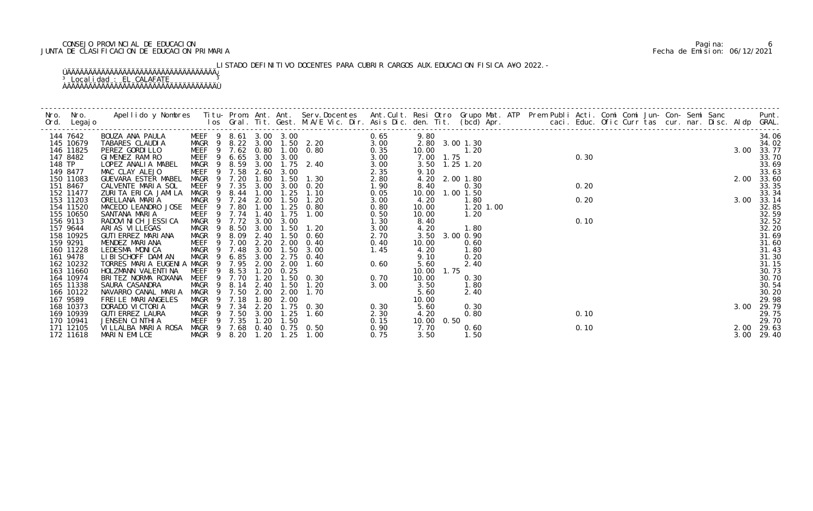# CONSEJO PROVINCIAL DE EDUCACION Pagina: 6 JUNTA DE CLASIFICACION DE EDUCACION PRIMARIA Fecha de Emision: 06/12/2021

# LISTADO DEFINITIVO DOCENTES PARA CUBRIR CARGOS AUX. EDUCACION FISICA A¥O 2022.-

|        | 144 7642  | BOUZA ANA PAULA                                | MEEF 9 8.61 3.00 3.00<br>MAGR 9 8.22 3.00 1.50 2.20 |            |           |      |                   | 0.65 | 9.80       |      |                |               |  |      |  |  |  |      | 34.06      |
|--------|-----------|------------------------------------------------|-----------------------------------------------------|------------|-----------|------|-------------------|------|------------|------|----------------|---------------|--|------|--|--|--|------|------------|
|        | 145 10679 | TABARES CLAUDIA                                |                                                     |            |           |      |                   | 3.00 |            |      | 2.80 3.00 1.30 |               |  |      |  |  |  |      | 34.02      |
|        | 146 11825 | PEREZ GORDILLO                                 | MEEF 9 7.62 0.80 1.00 0.80                          |            |           |      | $2.20$<br>$0.80$  | 0.35 | 10.00      |      | 1.20           |               |  |      |  |  |  | 3.00 | 33.77      |
|        | 147 8482  | GIMENEZ RAMIRO                                 | MEEF 9 6.65 3.00 3.00                               |            |           |      |                   | 3.00 | 7.00 1.75  |      |                |               |  | 0.30 |  |  |  |      | 33.70      |
| 148 TP |           | LOPEZ ANALIA MABEL                             | MAGR 9 8.59 3.00 1.75 2.40                          |            |           |      |                   | 3.00 |            |      | 3.50 1.25 1.20 |               |  |      |  |  |  |      | 33.69      |
|        | 149 8477  | MAC CLAY ALEJO                                 | MEEF                                                | 9 7.58     | 2.60      | 3.00 |                   | 2.35 | 9.10       |      |                |               |  |      |  |  |  |      | 33.63      |
|        | 150 11083 | GUEVARA ESTER MABEL                            | MAGR 9 7.20                                         |            | 1.80      |      | 1.50 1.30         | 2.80 |            |      | 4.20 2.00 1.80 |               |  |      |  |  |  | 2.00 | 33.60      |
|        | 151 8467  | CALVENTE MARIA SOL                             | MEEF                                                | 9 7.35     | 3.00      |      | $3.00 \quad 0.20$ | 1.90 | 8.40       |      | 0.30           |               |  | 0.20 |  |  |  |      | 33.35      |
|        | 152 11477 | ZURITA ERICA JAMILA                            | MAGR<br>-9                                          |            | 8.44 1.00 | 1.25 | 1.10              | 0.05 | 10.00      |      | 1.00 1.50      |               |  |      |  |  |  |      | 33.34      |
|        | 153 11203 | ORELLANA MARIA                                 | MAGR                                                | 9 7.24     | 2.00      | 1.50 | 1. 20             | 3.00 | 4.20       |      | 1.80           |               |  | 0.20 |  |  |  | 3.00 | 33.14      |
|        | 154 11520 | MACEDO LEANDRO JOSE                            | <b>MEEF</b>                                         | 9 7.80     | 1.00      | 1.25 | 0.80              | 0.80 | 10.00      |      |                | $1.20$ $1.00$ |  |      |  |  |  |      | 32.85      |
|        | 155 10650 | SANTANA MARIA                                  | MEEF 9 7.74 1.40                                    |            |           | 1.75 | 1.00              | 0.50 | 10.00      |      | 1.20           |               |  |      |  |  |  |      | 32.59      |
|        | 156 9113  | RADOVINICH JESSICA                             | MAGR 9                                              | 7.72       | 3.00      | 3.00 |                   | 1.30 | 8.40       |      |                |               |  | 0.10 |  |  |  |      | 32.52      |
|        | 157 9644  | ARI AS VI LLEGAS                               | MAGR 9 8.50                                         |            | 3.00      |      | $1.50$ $1.20$     | 3.00 | 4.20       |      | 1.80           |               |  |      |  |  |  |      | 32.20      |
|        | 158 10925 | GUTI ERREZ MARI ANA                            | MAGR 9 8.09                                         |            | 2.40      | 1.50 | 0.60              | 2.70 |            |      | 3.50 3.00 0.90 |               |  |      |  |  |  |      | 31.69      |
|        | 159 9291  | MENDEZ MARIANA                                 | MEEF<br>$\overline{9}$                              | 7.00       | 2.20      | 2.00 | 0.40              | 0.40 | 10.00      |      | 0.60           |               |  |      |  |  |  |      | 31.60      |
|        | 160 11228 | LEDESMA MONICA                                 | MAGR<br>- 9                                         | 7.48       | 3.00      | 1.50 | 3.00              | 1.45 | 4.20       |      | 1.80           |               |  |      |  |  |  |      | 31.43      |
|        | 161 9478  | LI BI SCHOFF DAMI AN                           | MAGR<br>- 9                                         | 6.85       | 3.00      | 2.75 | 0.40              |      | 9.10       |      | 0.20           |               |  |      |  |  |  |      | 31.30      |
|        | 162 10232 | TORRES MARIA EUGENIA MAGR                      |                                                     | 9 7.95     | 2.00      | 2.00 | 1.60              | 0.60 | 5.60       |      | 2.40           |               |  |      |  |  |  |      | 31.15      |
|        | 163 11660 | HOLZMANN VALENTINA                             | MEEF                                                | 8.53<br>-9 | 1.20      | 0.25 |                   |      | 10.00      | 1.75 |                |               |  |      |  |  |  |      | 30.73      |
|        | 164 10974 | BRITEZ NORMA ROXANA                            | <b>MEEF</b>                                         | 9<br>7.70  | 1.20      | 1.50 | 0.30              | 0.70 | 10.00      |      | 0.30           |               |  |      |  |  |  |      | 30.70      |
|        | 165 11338 | SAURA CASANDRA                                 | MAGR<br>- 9                                         | 8.14       | 2.40      | 1.50 | 1.20              | 3.00 | 3.50       |      | 1.80           |               |  |      |  |  |  |      | 30.54      |
|        | 166 10122 | NAVARRO CANAL MARIA                            | MAGR                                                | 9 7.50     | 2.00      | 2.00 | 1.70              |      | 5.60       |      | 2.40           |               |  |      |  |  |  |      | 30.20      |
|        | 167 9589  | FREILE MARIANGELES                             | MAGR<br>$\overline{9}$                              | 7.18       | 1.80      | 2.00 |                   |      | 10.00      |      |                |               |  |      |  |  |  |      | 29.98      |
|        | 168 10373 | DORADO VICTORIA                                | MAGR                                                | 7.34       | 2.20      |      | $1.75$ 0.30       | 0.30 | 5.60       |      | 0.30           |               |  |      |  |  |  | 3.00 | 29.79      |
|        | 169 10939 | <b>GUTI ERREZ LAURA</b>                        | MAGR 9 7.50                                         |            | 3.00      | 1.25 | 1.60              | 2.30 | 4.20       |      | 0.80           |               |  | 0.10 |  |  |  |      | 29.75      |
|        | 170 10941 | JENSEN CINTHIA                                 | MEEF 9 7.35                                         |            | 1.20      | 1.50 |                   | 0.15 | 10.00 0.50 |      |                |               |  |      |  |  |  |      | 29.70      |
|        | 171 12105 | VILLALBA MARIA ROSA MAGR 9 7.68 0.40 0.75 0.50 |                                                     |            |           |      |                   | 0.90 | 7.70       |      | 0.60           |               |  | 0.10 |  |  |  |      | 2.00 29.63 |
|        | 172 11618 | MARIN EMILCE                                   | MAGR 9 8.20                                         |            | 1.20      | 1.25 | 1.00              | 0.75 | 3.50       |      | 1.50           |               |  |      |  |  |  | 3.00 | 29.40      |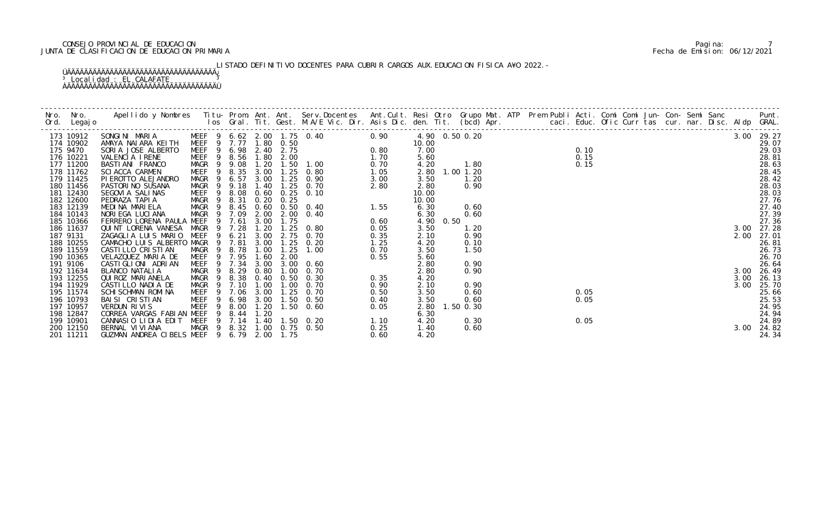# CONSEJO PROVINCIAL DE EDUCACION Pagina: 7 JUNTA DE CLASIFICACION DE EDUCACION PRIMARIA Fecha de Emision: 06/12/2021

LISTADO DEFINITIVO DOCENTES PARA CUBRIR CARGOS AUX. EDUCACION FISICA A¥O 2022.-

| 173 10912 |                                            |  |  |                            |      |      |      |  |  |  |  |      | 3.00 29.27 |
|-----------|--------------------------------------------|--|--|----------------------------|------|------|------|--|--|--|--|------|------------|
| 174 10902 |                                            |  |  |                            |      |      |      |  |  |  |  |      | 29.07      |
| 175 9470  |                                            |  |  |                            |      |      |      |  |  |  |  |      | 29.03      |
| 176 10221 |                                            |  |  |                            |      |      |      |  |  |  |  |      | 28.81      |
| 177 11200 |                                            |  |  |                            |      |      |      |  |  |  |  |      | 28.63      |
| 178 11762 |                                            |  |  |                            |      |      |      |  |  |  |  |      | 28.45      |
| 179 11425 |                                            |  |  |                            |      |      |      |  |  |  |  |      | 28.42      |
| 180 11456 |                                            |  |  |                            |      |      |      |  |  |  |  |      | 28.03      |
| 181 12430 |                                            |  |  |                            |      |      |      |  |  |  |  |      | 28.03      |
| 182 12600 |                                            |  |  |                            |      |      |      |  |  |  |  |      | 27.76      |
| 183 12139 |                                            |  |  |                            |      |      |      |  |  |  |  |      | 27.40      |
| 184 10143 |                                            |  |  |                            |      |      |      |  |  |  |  |      | 27.39      |
| 185 10366 |                                            |  |  |                            |      |      |      |  |  |  |  |      | 27.36      |
| 186 11637 |                                            |  |  |                            |      |      |      |  |  |  |  |      | 3.00 27.28 |
| 187 9131  |                                            |  |  |                            |      |      |      |  |  |  |  | 2.00 | 27.01      |
| 188 10255 |                                            |  |  |                            |      |      |      |  |  |  |  |      | 26.81      |
| 189 11559 |                                            |  |  |                            |      |      |      |  |  |  |  |      | 26.73      |
| 190 10365 |                                            |  |  |                            |      |      |      |  |  |  |  |      | 26.70      |
| 191 9106  |                                            |  |  |                            |      |      |      |  |  |  |  |      | 26.64      |
| 192 11634 |                                            |  |  |                            |      |      |      |  |  |  |  |      | 3.00 26.49 |
| 193 12255 |                                            |  |  |                            |      |      |      |  |  |  |  | 3.00 | 26.13      |
| 194 11929 |                                            |  |  |                            |      |      |      |  |  |  |  | 3.00 | 25.70      |
| 195 11574 |                                            |  |  |                            |      |      |      |  |  |  |  |      | 25.66      |
| 196 10793 |                                            |  |  |                            |      |      |      |  |  |  |  |      | 25.53      |
| 197 10957 |                                            |  |  |                            |      |      |      |  |  |  |  |      | 24.95      |
| 198 12847 |                                            |  |  |                            |      |      |      |  |  |  |  |      | 24.94      |
| 199 10901 |                                            |  |  | $\frac{1}{2}$ . 10         |      |      |      |  |  |  |  |      | 24.89      |
| 200 12150 | BERNAL VI VI ANA                           |  |  | MAGR 9 8.32 1.00 0.75 0.50 | 0.25 | 1.40 | 0.60 |  |  |  |  |      | 3.00 24.82 |
| 201 11211 | GUZMAN ANDREA CIBELS MEEF 9 6.79 2.00 1.75 |  |  |                            | 0.60 | 4.20 |      |  |  |  |  |      | 24.34      |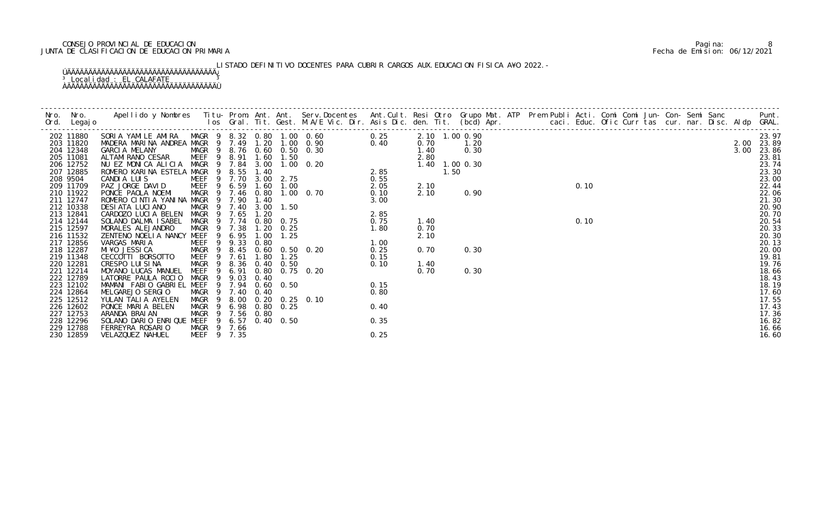# CONSEJO PROVINCIAL DE EDUCACION Pagina: 8 JUNTA DE CLASIFICACION DE EDUCACION PRIMARIA Fecha de Emision: 06/12/2021

LISTADO DEFINITIVO DOCENTES PARA CUBRIR CARGOS AUX. EDUCACION FISICA A¥O 2022.-

|                        | J Nombres Titu-Fit. Uest.<br>10S Gral. Tit. Uest.<br>10S Gral. Tit. Uest.<br>10S Gral. Tit. Uest.<br>10S Gral. Tit. Uest.<br>10S Gral. Tit. Uest.<br>10C Comparison of Comparison of Comparison of Comparison of Comparison of Comparison |                                      |        |                |                   |                                                                                                                                                   |      |      |      |  |  |  |  |  |  | $0.10$ $0.10$ $0.10$ $0.11$ $0.12$ $0.12$ $0.12$ $0.13$ $0.13$ $0.14$ $0.15$ $0.17.1$ $0.17.36$ $0.83$ $0.87$ $0.87$ $0.89$ $0.89$ |
|------------------------|-------------------------------------------------------------------------------------------------------------------------------------------------------------------------------------------------------------------------------------------|--------------------------------------|--------|----------------|-------------------|---------------------------------------------------------------------------------------------------------------------------------------------------|------|------|------|--|--|--|--|--|--|------------------------------------------------------------------------------------------------------------------------------------|
| 202 11880              |                                                                                                                                                                                                                                           |                                      |        |                |                   |                                                                                                                                                   |      |      |      |  |  |  |  |  |  |                                                                                                                                    |
| 203 11820<br>204 12348 |                                                                                                                                                                                                                                           |                                      |        |                |                   |                                                                                                                                                   |      |      |      |  |  |  |  |  |  |                                                                                                                                    |
| 205 11081              |                                                                                                                                                                                                                                           |                                      |        |                |                   |                                                                                                                                                   |      |      |      |  |  |  |  |  |  |                                                                                                                                    |
| 206 12752              |                                                                                                                                                                                                                                           |                                      |        |                |                   |                                                                                                                                                   |      |      |      |  |  |  |  |  |  |                                                                                                                                    |
| 207 12885              |                                                                                                                                                                                                                                           |                                      |        |                |                   |                                                                                                                                                   |      |      |      |  |  |  |  |  |  |                                                                                                                                    |
| 208 9504               |                                                                                                                                                                                                                                           |                                      |        |                |                   |                                                                                                                                                   |      |      |      |  |  |  |  |  |  |                                                                                                                                    |
| 209 11709              |                                                                                                                                                                                                                                           |                                      |        |                |                   |                                                                                                                                                   |      |      |      |  |  |  |  |  |  |                                                                                                                                    |
| 210 11922              |                                                                                                                                                                                                                                           |                                      |        |                |                   |                                                                                                                                                   |      |      |      |  |  |  |  |  |  |                                                                                                                                    |
| 211 12747              |                                                                                                                                                                                                                                           |                                      |        |                |                   |                                                                                                                                                   |      |      |      |  |  |  |  |  |  |                                                                                                                                    |
| 212 10338              | DESIATA LUCIANO                                                                                                                                                                                                                           | MAGR 9 7.40                          |        |                | $3.00$ 1.50       | 0. 70<br>$3.00$<br>$2.85$<br>$0.75$<br>$1.80$<br>$0.20$<br>$0.25$<br>$0.15$<br>$0.10$<br>$0.15$<br>$0.10$<br>$0.15$<br>$0.10$<br>$0.15$<br>$0.10$ |      |      |      |  |  |  |  |  |  |                                                                                                                                    |
| 213 12841<br>214 12144 | CARDOZO LUCIA BELEN<br>SOLANO DALMA ISABEL                                                                                                                                                                                                | MAGR 9 7.65<br>MAGR 9 7.74 0.80 0.75 |        | 1.20           |                   |                                                                                                                                                   |      | 1.40 |      |  |  |  |  |  |  |                                                                                                                                    |
| 215 12597              | MORALES ALEJANDRO                                                                                                                                                                                                                         | MAGR 9                               | 7.38   |                | $1.20 \t 0.25$    |                                                                                                                                                   |      | 0.70 |      |  |  |  |  |  |  |                                                                                                                                    |
| 216 11532              | ZENTENO NOELIA NANCY MEEF                                                                                                                                                                                                                 | $\overline{9}$                       | 6.95   | 1.00           | 1.25              |                                                                                                                                                   |      | 2.10 |      |  |  |  |  |  |  |                                                                                                                                    |
| 217 12856              | VARGAS MARIA                                                                                                                                                                                                                              | MEEF 9 9.33                          |        | 0.80           |                   |                                                                                                                                                   |      |      |      |  |  |  |  |  |  |                                                                                                                                    |
| 218 12287              | MI ¥O JESSI CA                                                                                                                                                                                                                            | MAGR 9 8.45 0.60 0.50 0.20           |        |                |                   |                                                                                                                                                   |      | 0.70 | 0.30 |  |  |  |  |  |  |                                                                                                                                    |
| 219 11348              | CECCOTTI BORSOTTO                                                                                                                                                                                                                         | MEEF                                 | 9 7.61 | 1.80           | 1.25              |                                                                                                                                                   |      |      |      |  |  |  |  |  |  |                                                                                                                                    |
| 220 12281              | CRESPO LUISINA                                                                                                                                                                                                                            | MAGR                                 |        | 8.36 0.40 0.50 |                   |                                                                                                                                                   |      | 1.40 |      |  |  |  |  |  |  |                                                                                                                                    |
| 221 12214              | MOYANO LUCAS MANUEL                                                                                                                                                                                                                       | MEEF 9 6.91 0.80 0.75 0.20           |        |                |                   |                                                                                                                                                   |      | 0.70 | 0.30 |  |  |  |  |  |  |                                                                                                                                    |
| 222 12789              | LATORRE PAULA ROCIO                                                                                                                                                                                                                       | MAGR 9 9.03                          |        | 0.40           |                   |                                                                                                                                                   |      |      |      |  |  |  |  |  |  |                                                                                                                                    |
| 223 12102              | MAMANI FABIO GABRIEL MEEF 9 7.94 0.60 0.50                                                                                                                                                                                                |                                      |        |                |                   |                                                                                                                                                   |      |      |      |  |  |  |  |  |  |                                                                                                                                    |
| 224 12864              | MELGAREJO SERGIO                                                                                                                                                                                                                          | MAGR 9 7.40                          |        | 0.40           |                   |                                                                                                                                                   | 0.80 |      |      |  |  |  |  |  |  |                                                                                                                                    |
| 225 12512<br>226 12602 | YULAN TALIA AYELEN<br>PONCE MARIA BELEN                                                                                                                                                                                                   | MAGR 9<br>MAGR 9 6.98                |        |                | $0.80 \quad 0.25$ | 8.00 0.20 0.25 0.10                                                                                                                               | 0.40 |      |      |  |  |  |  |  |  |                                                                                                                                    |
| 227 12753              | ARANDA BRAIAN                                                                                                                                                                                                                             | MAGR 9 7.56 0.80                     |        |                |                   |                                                                                                                                                   |      |      |      |  |  |  |  |  |  |                                                                                                                                    |
| 228 12296              | SOLANO DARIO ENRIQUE MEEF 9                                                                                                                                                                                                               |                                      | 6.57   |                | $0.40\quad 0.50$  |                                                                                                                                                   | 0.35 |      |      |  |  |  |  |  |  |                                                                                                                                    |
| 229 12788              | FERREYRA ROSARIO                                                                                                                                                                                                                          | MAGR 9 7.66                          |        |                |                   |                                                                                                                                                   |      |      |      |  |  |  |  |  |  | 16.66                                                                                                                              |
| 230 12859              | VELAZQUEZ NAHUEL                                                                                                                                                                                                                          | MEEF 9 7.35                          |        |                |                   |                                                                                                                                                   | 0.25 |      |      |  |  |  |  |  |  | 16.60                                                                                                                              |